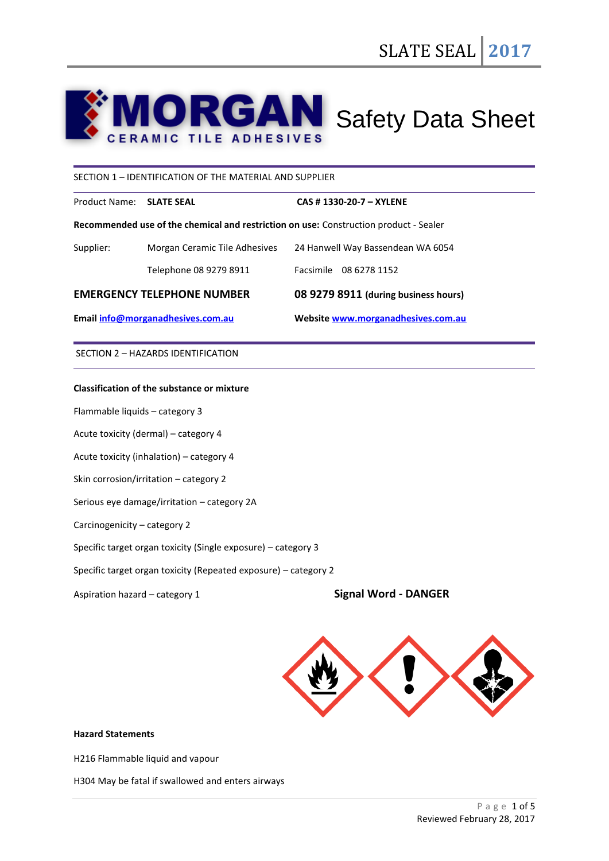# **RGAN** Safety Data Sheet **ERAMIC TILE ADHESIVES**

# SECTION 1 – IDENTIFICATION OF THE MATERIAL AND SUPPLIER

Product Name: **SLATE SEAL CAS # 1330-20-7 – XYLENE**

**Recommended use of the chemical and restriction on use:** Construction product - Sealer

| Email info@morganadhesives.com.au |                               | Website www.morganadhesives.com.au   |
|-----------------------------------|-------------------------------|--------------------------------------|
| <b>EMERGENCY TELEPHONE NUMBER</b> |                               | 08 9279 8911 (during business hours) |
|                                   | Telephone 08 9279 8911        | Facsimile 08 6278 1152               |
| Supplier:                         | Morgan Ceramic Tile Adhesives | 24 Hanwell Way Bassendean WA 6054    |

SECTION 2 – HAZARDS IDENTIFICATION

# **Classification of the substance or mixture**

Flammable liquids – category 3

Acute toxicity (dermal) – category 4

Acute toxicity (inhalation) – category 4

Skin corrosion/irritation – category 2

Serious eye damage/irritation – category 2A

Carcinogenicity – category 2

Specific target organ toxicity (Single exposure) – category 3

Specific target organ toxicity (Repeated exposure) – category 2

Aspiration hazard – category 1 **Signal Word - DANGER**



# **Hazard Statements**

H216 Flammable liquid and vapour

H304 May be fatal if swallowed and enters airways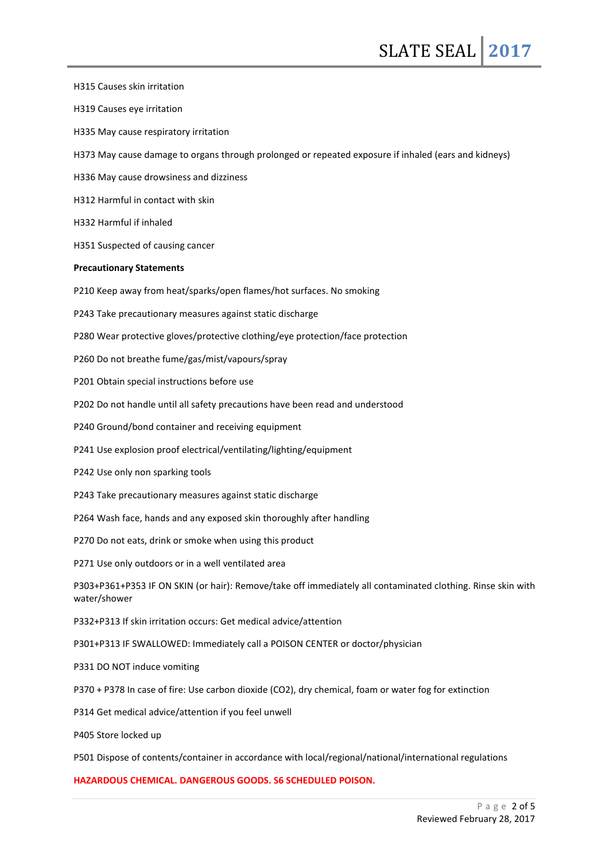H315 Causes skin irritation H319 Causes eye irritation H335 May cause respiratory irritation H373 May cause damage to organs through prolonged or repeated exposure if inhaled (ears and kidneys) H336 May cause drowsiness and dizziness H312 Harmful in contact with skin H332 Harmful if inhaled H351 Suspected of causing cancer **Precautionary Statements** P210 Keep away from heat/sparks/open flames/hot surfaces. No smoking P243 Take precautionary measures against static discharge P280 Wear protective gloves/protective clothing/eye protection/face protection P260 Do not breathe fume/gas/mist/vapours/spray P201 Obtain special instructions before use P202 Do not handle until all safety precautions have been read and understood P240 Ground/bond container and receiving equipment P241 Use explosion proof electrical/ventilating/lighting/equipment P242 Use only non sparking tools P243 Take precautionary measures against static discharge P264 Wash face, hands and any exposed skin thoroughly after handling P270 Do not eats, drink or smoke when using this product P271 Use only outdoors or in a well ventilated area P303+P361+P353 IF ON SKIN (or hair): Remove/take off immediately all contaminated clothing. Rinse skin with water/shower P332+P313 If skin irritation occurs: Get medical advice/attention P301+P313 IF SWALLOWED: Immediately call a POISON CENTER or doctor/physician P331 DO NOT induce vomiting P370 + P378 In case of fire: Use carbon dioxide (CO2), dry chemical, foam or water fog for extinction P314 Get medical advice/attention if you feel unwell P405 Store locked up P501 Dispose of contents/container in accordance with local/regional/national/international regulations **HAZARDOUS CHEMICAL. DANGEROUS GOODS. S6 SCHEDULED POISON.**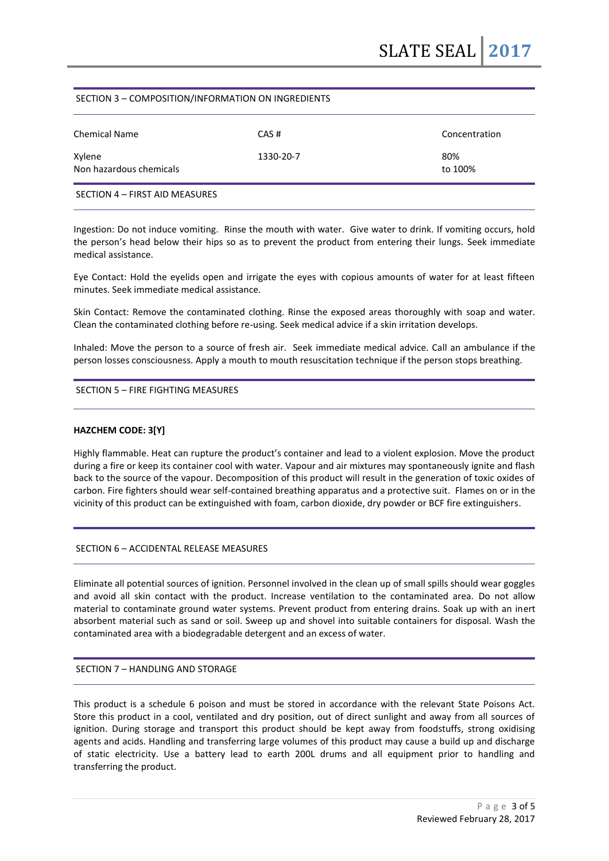# SECTION 3 – COMPOSITION/INFORMATION ON INGREDIENTS

| <b>Chemical Name</b>              | CAS#      | Concentration  |
|-----------------------------------|-----------|----------------|
| Xylene<br>Non hazardous chemicals | 1330-20-7 | 80%<br>to 100% |
| SECTION 4 - FIRST AID MEASURES    |           |                |

Ingestion: Do not induce vomiting. Rinse the mouth with water. Give water to drink. If vomiting occurs, hold the person's head below their hips so as to prevent the product from entering their lungs. Seek immediate medical assistance.

Eye Contact: Hold the eyelids open and irrigate the eyes with copious amounts of water for at least fifteen minutes. Seek immediate medical assistance.

Skin Contact: Remove the contaminated clothing. Rinse the exposed areas thoroughly with soap and water. Clean the contaminated clothing before re-using. Seek medical advice if a skin irritation develops.

Inhaled: Move the person to a source of fresh air. Seek immediate medical advice. Call an ambulance if the person losses consciousness. Apply a mouth to mouth resuscitation technique if the person stops breathing.

# SECTION 5 – FIRE FIGHTING MEASURES

# **HAZCHEM CODE: 3[Y]**

Highly flammable. Heat can rupture the product's container and lead to a violent explosion. Move the product during a fire or keep its container cool with water. Vapour and air mixtures may spontaneously ignite and flash back to the source of the vapour. Decomposition of this product will result in the generation of toxic oxides of carbon. Fire fighters should wear self-contained breathing apparatus and a protective suit. Flames on or in the vicinity of this product can be extinguished with foam, carbon dioxide, dry powder or BCF fire extinguishers.

SECTION 6 – ACCIDENTAL RELEASE MEASURES

Eliminate all potential sources of ignition. Personnel involved in the clean up of small spills should wear goggles and avoid all skin contact with the product. Increase ventilation to the contaminated area. Do not allow material to contaminate ground water systems. Prevent product from entering drains. Soak up with an inert absorbent material such as sand or soil. Sweep up and shovel into suitable containers for disposal. Wash the contaminated area with a biodegradable detergent and an excess of water.

# SECTION 7 – HANDLING AND STORAGE

This product is a schedule 6 poison and must be stored in accordance with the relevant State Poisons Act. Store this product in a cool, ventilated and dry position, out of direct sunlight and away from all sources of ignition. During storage and transport this product should be kept away from foodstuffs, strong oxidising agents and acids. Handling and transferring large volumes of this product may cause a build up and discharge of static electricity. Use a battery lead to earth 200L drums and all equipment prior to handling and transferring the product.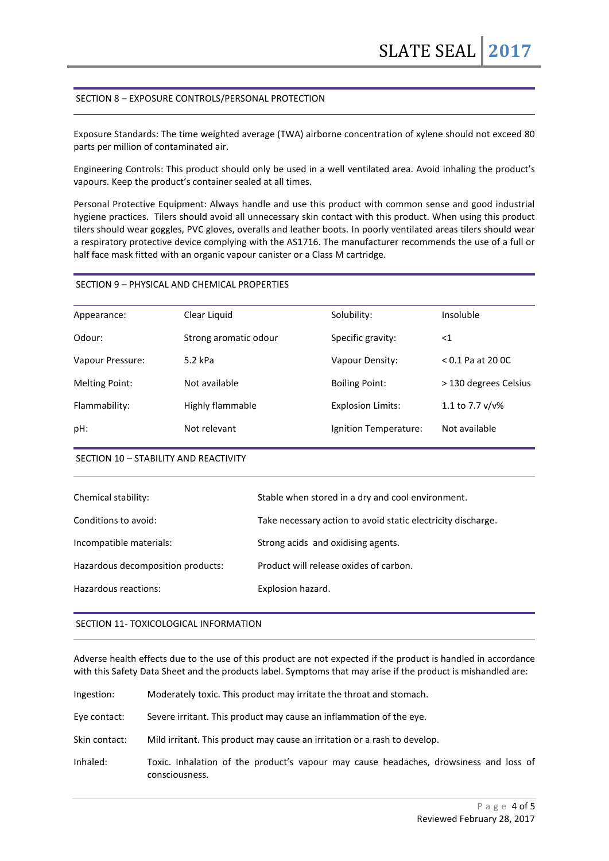# SECTION 8 – EXPOSURE CONTROLS/PERSONAL PROTECTION

Exposure Standards: The time weighted average (TWA) airborne concentration of xylene should not exceed 80 parts per million of contaminated air.

Engineering Controls: This product should only be used in a well ventilated area. Avoid inhaling the product's vapours. Keep the product's container sealed at all times.

Personal Protective Equipment: Always handle and use this product with common sense and good industrial hygiene practices. Tilers should avoid all unnecessary skin contact with this product. When using this product tilers should wear goggles, PVC gloves, overalls and leather boots. In poorly ventilated areas tilers should wear a respiratory protective device complying with the AS1716. The manufacturer recommends the use of a full or half face mask fitted with an organic vapour canister or a Class M cartridge.

# SECTION 9 – PHYSICAL AND CHEMICAL PROPERTIES

| Appearance:           | Clear Liquid          | Solubility:              | Insoluble             |
|-----------------------|-----------------------|--------------------------|-----------------------|
| Odour:                | Strong aromatic odour | Specific gravity:        | $<$ 1                 |
| Vapour Pressure:      | $5.2$ kPa             | Vapour Density:          | $< 0.1$ Pa at 20 OC   |
| <b>Melting Point:</b> | Not available         | <b>Boiling Point:</b>    | > 130 degrees Celsius |
| Flammability:         | Highly flammable      | <b>Explosion Limits:</b> | 1.1 to 7.7 v/v%       |
| pH:                   | Not relevant          | Ignition Temperature:    | Not available         |
|                       |                       |                          |                       |

#### SECTION 10 – STABILITY AND REACTIVITY

| Chemical stability:               | Stable when stored in a dry and cool environment.            |
|-----------------------------------|--------------------------------------------------------------|
| Conditions to avoid:              | Take necessary action to avoid static electricity discharge. |
| Incompatible materials:           | Strong acids and oxidising agents.                           |
| Hazardous decomposition products: | Product will release oxides of carbon.                       |
| Hazardous reactions:              | Explosion hazard.                                            |
|                                   |                                                              |

### SECTION 11- TOXICOLOGICAL INFORMATION

Adverse health effects due to the use of this product are not expected if the product is handled in accordance with this Safety Data Sheet and the products label. Symptoms that may arise if the product is mishandled are:

| Ingestion:    | Moderately toxic. This product may irritate the throat and stomach.                                     |
|---------------|---------------------------------------------------------------------------------------------------------|
| Eye contact:  | Severe irritant. This product may cause an inflammation of the eye.                                     |
| Skin contact: | Mild irritant. This product may cause an irritation or a rash to develop.                               |
| Inhaled:      | Toxic. Inhalation of the product's vapour may cause headaches, drowsiness and loss of<br>consciousness. |